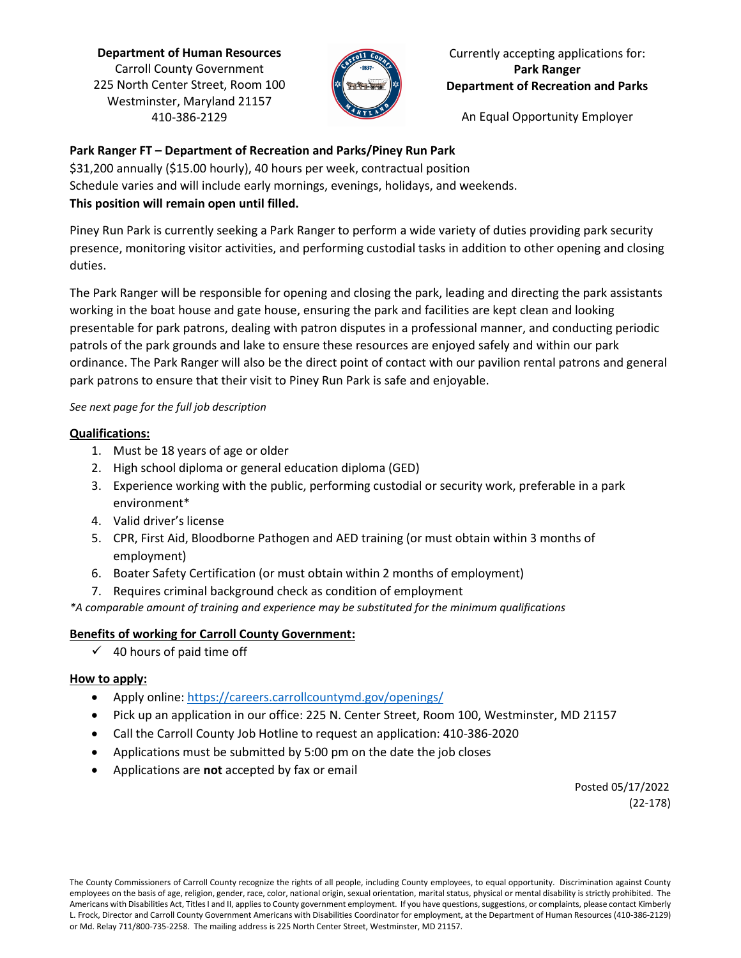**Department of Human Resources** Carroll County Government 225 North Center Street, Room 100 Westminster, Maryland 21157 410-386-2129



### Currently accepting applications for: **Park Ranger Department of Recreation and Parks**

An Equal Opportunity Employer

## **Park Ranger FT – Department of Recreation and Parks/Piney Run Park**

\$31,200 annually (\$15.00 hourly), 40 hours per week, contractual position Schedule varies and will include early mornings, evenings, holidays, and weekends.

## **This position will remain open until filled.**

Piney Run Park is currently seeking a Park Ranger to perform a wide variety of duties providing park security presence, monitoring visitor activities, and performing custodial tasks in addition to other opening and closing duties.

The Park Ranger will be responsible for opening and closing the park, leading and directing the park assistants working in the boat house and gate house, ensuring the park and facilities are kept clean and looking presentable for park patrons, dealing with patron disputes in a professional manner, and conducting periodic patrols of the park grounds and lake to ensure these resources are enjoyed safely and within our park ordinance. The Park Ranger will also be the direct point of contact with our pavilion rental patrons and general park patrons to ensure that their visit to Piney Run Park is safe and enjoyable.

### *See next page for the full job description*

## **Qualifications:**

- 1. Must be 18 years of age or older
- 2. High school diploma or general education diploma (GED)
- 3. Experience working with the public, performing custodial or security work, preferable in a park environment\*
- 4. Valid driver's license
- 5. CPR, First Aid, Bloodborne Pathogen and AED training (or must obtain within 3 months of employment)
- 6. Boater Safety Certification (or must obtain within 2 months of employment)
- 7. Requires criminal background check as condition of employment

*\*A comparable amount of training and experience may be substituted for the minimum qualifications*

# **Benefits of working for Carroll County Government:**

 $\checkmark$  40 hours of paid time off

# **How to apply:**

- Apply online:<https://careers.carrollcountymd.gov/openings/>
- Pick up an application in our office: 225 N. Center Street, Room 100, Westminster, MD 21157
- Call the Carroll County Job Hotline to request an application: 410-386-2020
- Applications must be submitted by 5:00 pm on the date the job closes
- Applications are **not** accepted by fax or email

 Posted 05/17/2022 (22-178)

The County Commissioners of Carroll County recognize the rights of all people, including County employees, to equal opportunity. Discrimination against County employees on the basis of age, religion, gender, race, color, national origin, sexual orientation, marital status, physical or mental disability is strictly prohibited. The Americans with Disabilities Act, Titles I and II, applies to County government employment. If you have questions, suggestions, or complaints, please contact Kimberly L. Frock, Director and Carroll County Government Americans with Disabilities Coordinator for employment, at the Department of Human Resources (410-386-2129) or Md. Relay 711/800-735-2258. The mailing address is 225 North Center Street, Westminster, MD 21157.